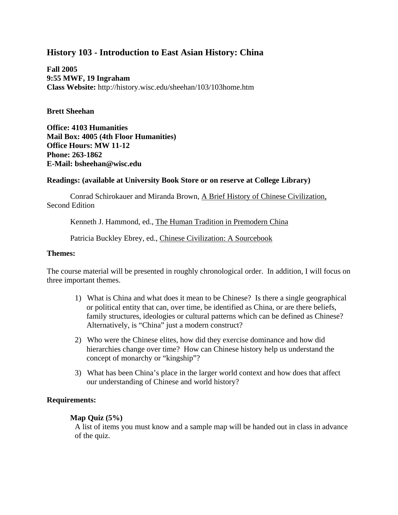# **History 103 - Introduction to East Asian History: China**

**Fall 2005 9:55 MWF, 19 Ingraham Class Website:** http://history.wisc.edu/sheehan/103/103home.htm

### **Brett Sheehan**

**Office: 4103 Humanities Mail Box: 4005 (4th Floor Humanities) Office Hours: MW 11-12 Phone: 263-1862 E-Mail: bsheehan@wisc.edu**

# **Readings: (available at University Book Store or on reserve at College Library)**

 Conrad Schirokauer and Miranda Brown, A Brief History of Chinese Civilization, Second Edition

Kenneth J. Hammond, ed., The Human Tradition in Premodern China

Patricia Buckley Ebrey, ed., Chinese Civilization: A Sourcebook

### **Themes:**

The course material will be presented in roughly chronological order. In addition, I will focus on three important themes.

- 1) What is China and what does it mean to be Chinese? Is there a single geographical or political entity that can, over time, be identified as China, or are there beliefs, family structures, ideologies or cultural patterns which can be defined as Chinese? Alternatively, is "China" just a modern construct?
- 2) Who were the Chinese elites, how did they exercise dominance and how did hierarchies change over time? How can Chinese history help us understand the concept of monarchy or "kingship"?
- 3) What has been China's place in the larger world context and how does that affect our understanding of Chinese and world history?

# **Requirements:**

### **Map Quiz (5%)**

A list of items you must know and a sample map will be handed out in class in advance of the quiz.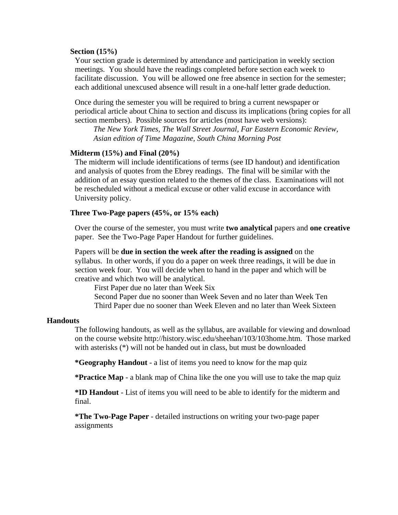#### **Section (15%)**

Your section grade is determined by attendance and participation in weekly section meetings. You should have the readings completed before section each week to facilitate discussion. You will be allowed one free absence in section for the semester; each additional unexcused absence will result in a one-half letter grade deduction.

Once during the semester you will be required to bring a current newspaper or periodical article about China to section and discuss its implications (bring copies for all section members). Possible sources for articles (most have web versions):

*The New York Times, The Wall Street Journal, Far Eastern Economic Review, Asian edition of Time Magazine, South China Morning Post*

### **Midterm (15%) and Final (20%)**

The midterm will include identifications of terms (see ID handout) and identification and analysis of quotes from the Ebrey readings. The final will be similar with the addition of an essay question related to the themes of the class. Examinations will not be rescheduled without a medical excuse or other valid excuse in accordance with University policy.

#### **Three Two-Page papers (45%, or 15% each)**

Over the course of the semester, you must write **two analytical** papers and **one creative** paper. See the Two-Page Paper Handout for further guidelines.

Papers will be **due in section the week after the reading is assigned** on the syllabus. In other words, if you do a paper on week three readings, it will be due in section week four. You will decide when to hand in the paper and which will be creative and which two will be analytical.

 First Paper due no later than Week Six Second Paper due no sooner than Week Seven and no later than Week Ten Third Paper due no sooner than Week Eleven and no later than Week Sixteen

#### **Handouts**

The following handouts, as well as the syllabus, are available for viewing and download on the course website http://history.wisc.edu/sheehan/103/103home.htm. Those marked with asterisks (\*) will not be handed out in class, but must be downloaded

**\*Geography Handout** - a list of items you need to know for the map quiz

**\*Practice Map** - a blank map of China like the one you will use to take the map quiz

**\*ID Handout** - List of items you will need to be able to identify for the midterm and final.

**\*The Two-Page Paper** - detailed instructions on writing your two-page paper assignments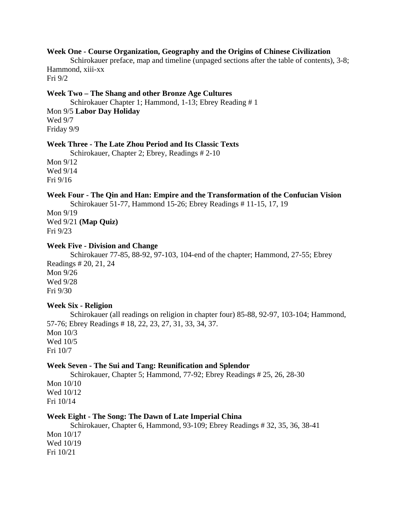### **Week One - Course Organization, Geography and the Origins of Chinese Civilization**

 Schirokauer preface, map and timeline (unpaged sections after the table of contents), 3-8; Hammond, xiii-xx

Fri 9/2

### **Week Two – The Shang and other Bronze Age Cultures**

 Schirokauer Chapter 1; Hammond, 1-13; Ebrey Reading # 1 Mon 9/5 **Labor Day Holiday** Wed 9/7 Friday 9/9

### **Week Three - The Late Zhou Period and Its Classic Texts**

Schirokauer, Chapter 2; Ebrey, Readings # 2-10

Mon 9/12 Wed 9/14 Fri 9/16

#### **Week Four - The Qin and Han: Empire and the Transformation of the Confucian Vision**

Schirokauer 51-77, Hammond 15-26; Ebrey Readings # 11-15, 17, 19

Mon 9/19 Wed 9/21 **(Map Quiz)** Fri 9/23

### **Week Five - Division and Change**

 Schirokauer 77-85, 88-92, 97-103, 104-end of the chapter; Hammond, 27-55; Ebrey Readings # 20, 21, 24 Mon 9/26 Wed 9/28 Fri 9/30

### **Week Six - Religion**

 Schirokauer (all readings on religion in chapter four) 85-88, 92-97, 103-104; Hammond, 57-76; Ebrey Readings # 18, 22, 23, 27, 31, 33, 34, 37. Mon 10/3 Wed 10/5 Fri 10/7

### **Week Seven - The Sui and Tang: Reunification and Splendor**

 Schirokauer, Chapter 5; Hammond, 77-92; Ebrey Readings # 25, 26, 28-30 Mon 10/10 Wed 10/12 Fri 10/14

### **Week Eight - The Song: The Dawn of Late Imperial China**

 Schirokauer, Chapter 6, Hammond, 93-109; Ebrey Readings # 32, 35, 36, 38-41 Mon 10/17 Wed 10/19

Fri 10/21